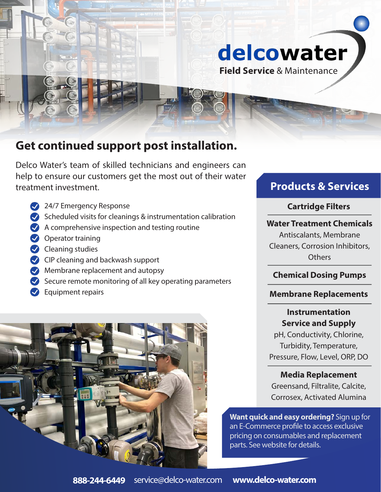

**Field Service** & Maintenance

# **Get continued support post installation.**

Delco Water's team of skilled technicians and engineers can help to ensure our customers get the most out of their water treatment investment.

- 24/7 Emergency Response
- $\blacktriangleright$  Scheduled visits for cleanings & instrumentation calibration
- $\blacktriangleright$  A comprehensive inspection and testing routine
- Operator training
- $\blacktriangleright$  Cleaning studies
- CIP cleaning and backwash support
- **Membrane replacement and autopsy**
- $\blacktriangleright$  Secure remote monitoring of all key operating parameters
- Buipment repairs



# **Products & Services**

### **Cartridge Filters**

### **Water Treatment Chemicals**

Antiscalants, Membrane Cleaners, Corrosion Inhibitors, **Others** 

## **Chemical Dosing Pumps**

### **Membrane Replacements**

## **Instrumentation Service and Supply**

pH, Conductivity, Chlorine, Turbidity, Temperature, Pressure, Flow, Level, ORP, DO

## **Media Replacement**

Greensand, Filtralite, Calcite, Corrosex, Activated Alumina

**Want quick and easy ordering?** Sign up for an E-Commerce profile to access exclusive pricing on consumables and replacement parts. See website for details.